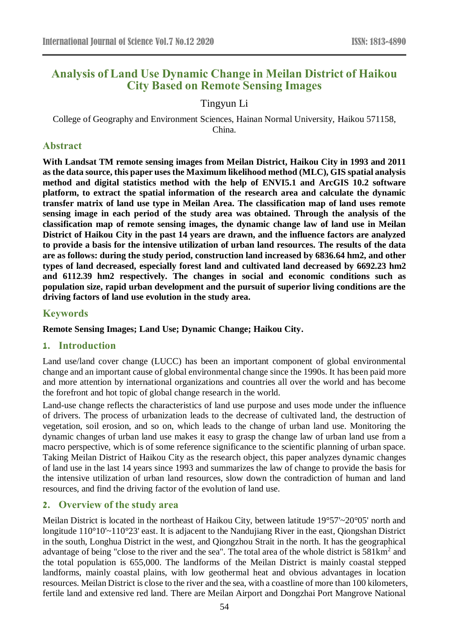# **Analysis of Land Use Dynamic Change in Meilan District of Haikou City Based on Remote Sensing Images**

# Tingyun Li

College of Geography and Environment Sciences, Hainan Normal University, Haikou 571158, China.

### **Abstract**

**With Landsat TM remote sensing images from Meilan District, Haikou City in 1993 and 2011 as the data source, this paper uses the Maximum likelihood method (MLC), GIS spatial analysis method and digital statistics method with the help of ENVI5.1 and ArcGIS 10.2 software platform, to extract the spatial information of the research area and calculate the dynamic transfer matrix of land use type in Meilan Area. The classification map of land uses remote sensing image in each period of the study area was obtained. Through the analysis of the classification map of remote sensing images, the dynamic change law of land use in Meilan District of Haikou City in the past 14 years are drawn, and the influence factors are analyzed to provide a basis for the intensive utilization of urban land resources. The results of the data are as follows: during the study period, construction land increased by 6836.64 hm2, and other types of land decreased, especially forest land and cultivated land decreased by 6692.23 hm2 and 6112.39 hm2 respectively. The changes in social and economic conditions such as population size, rapid urban development and the pursuit of superior living conditions are the driving factors of land use evolution in the study area.**

# **Keywords**

**Remote Sensing Images; Land Use; Dynamic Change; Haikou City.**

# **1. Introduction**

Land use/land cover change (LUCC) has been an important component of global environmental change and an important cause of global environmental change since the 1990s. It has been paid more and more attention by international organizations and countries all over the world and has become the forefront and hot topic of global change research in the world.

Land-use change reflects the characteristics of land use purpose and uses mode under the influence of drivers. The process of urbanization leads to the decrease of cultivated land, the destruction of vegetation, soil erosion, and so on, which leads to the change of urban land use. Monitoring the dynamic changes of urban land use makes it easy to grasp the change law of urban land use from a macro perspective, which is of some reference significance to the scientific planning of urban space. Taking Meilan District of Haikou City as the research object, this paper analyzes dynamic changes of land use in the last 14 years since 1993 and summarizes the law of change to provide the basis for the intensive utilization of urban land resources, slow down the contradiction of human and land resources, and find the driving factor of the evolution of land use.

# **2. Overview of the study area**

Meilan District is located in the northeast of Haikou City, between latitude 19°57'~20°05' north and longitude 110°10'~110°23' east. It is adjacent to the Nandujiang River in the east, Qiongshan District in the south, Longhua District in the west, and Qiongzhou Strait in the north. It has the geographical advantage of being "close to the river and the sea". The total area of the whole district is 581km<sup>2</sup> and the total population is 655,000. The landforms of the Meilan District is mainly coastal stepped landforms, mainly coastal plains, with low geothermal heat and obvious advantages in location resources. Meilan District is close to the river and the sea, with a coastline of more than 100 kilometers, fertile land and extensive red land. There are Meilan Airport and Dongzhai Port Mangrove National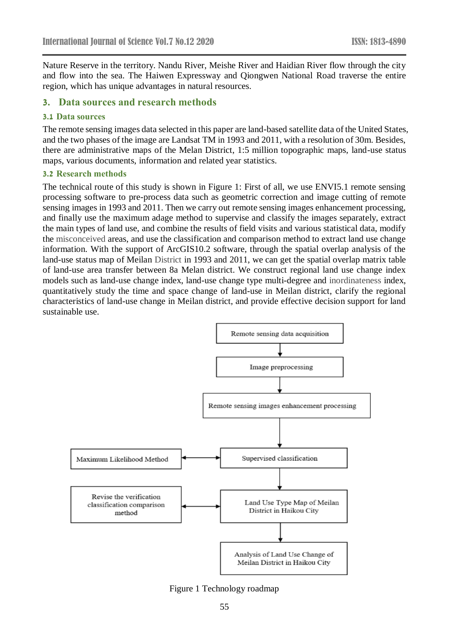Nature Reserve in the territory. Nandu River, Meishe River and Haidian River flow through the city and flow into the sea. The Haiwen Expressway and Qiongwen National Road traverse the entire region, which has unique advantages in natural resources.

# **3. Data sources and research methods**

### **3.1 Data sources**

The remote sensing images data selected in this paper are land-based satellite data of the United States, and the two phases of the image are Landsat TM in 1993 and 2011, with a resolution of 30m. Besides, there are administrative maps of the Melan District, 1:5 million topographic maps, land-use status maps, various documents, information and related year statistics.

### **3.2 Research methods**

The technical route of this study is shown in Figure 1: First of all, we use ENVI5.1 remote sensing processing software to pre-process data such as geometric correction and image cutting of remote sensing images in 1993 and 2011. Then we carry out remote sensing images enhancement processing, and finally use the maximum adage method to supervise and classify the images separately, extract the main types of land use, and combine the results of field visits and various statistical data, modify the misconceived areas, and use the classification and comparison method to extract land use change information. With the support of ArcGIS10.2 software, through the spatial overlap analysis of the land-use status map of Meilan District in 1993 and 2011, we can get the spatial overlap matrix table of land-use area transfer between 8a Melan district. We construct regional land use change index models such as land-use change index, land-use change type multi-degree and inordinateness index, quantitatively study the time and space change of land-use in Meilan district, clarify the regional characteristics of land-use change in Meilan district, and provide effective decision support for land sustainable use.



Figure 1 Technology roadmap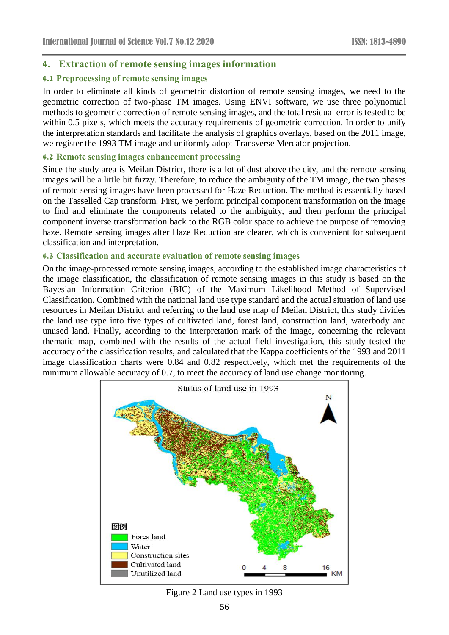# **4. Extraction of remote sensing images information**

# **4.1 Preprocessing of remote sensing images**

In order to eliminate all kinds of geometric distortion of remote sensing images, we need to the geometric correction of two-phase TM images. Using ENVI software, we use three polynomial methods to geometric correction of remote sensing images, and the total residual error is tested to be within 0.5 pixels, which meets the accuracy requirements of geometric correction. In order to unify the interpretation standards and facilitate the analysis of graphics overlays, based on the 2011 image, we register the 1993 TM image and uniformly adopt Transverse Mercator projection.

### **4.2 Remote sensing images enhancement processing**

Since the study area is Meilan District, there is a lot of dust above the city, and the remote sensing images will be a little bit fuzzy. Therefore, to reduce the ambiguity of the TM image, the two phases of remote sensing images have been processed for Haze Reduction. The method is essentially based on the Tasselled Cap transform. First, we perform principal component transformation on the image to find and eliminate the components related to the ambiguity, and then perform the principal component inverse transformation back to the RGB color space to achieve the purpose of removing haze. Remote sensing images after Haze Reduction are clearer, which is convenient for subsequent classification and interpretation.

### **4.3 Classification and accurate evaluation of remote sensing images**

On the image-processed remote sensing images, according to the established image characteristics of the image classification, the classification of remote sensing images in this study is based on the Bayesian Information Criterion (BIC) of the Maximum Likelihood Method of Supervised Classification. Combined with the national land use type standard and the actual situation of land use resources in Meilan District and referring to the land use map of Meilan District, this study divides the land use type into five types of cultivated land, forest land, construction land, waterbody and unused land. Finally, according to the interpretation mark of the image, concerning the relevant thematic map, combined with the results of the actual field investigation, this study tested the accuracy of the classification results, and calculated that the Kappa coefficients of the 1993 and 2011 image classification charts were 0.84 and 0.82 respectively, which met the requirements of the minimum allowable accuracy of 0.7, to meet the accuracy of land use change monitoring.



### Figure 2 Land use types in 1993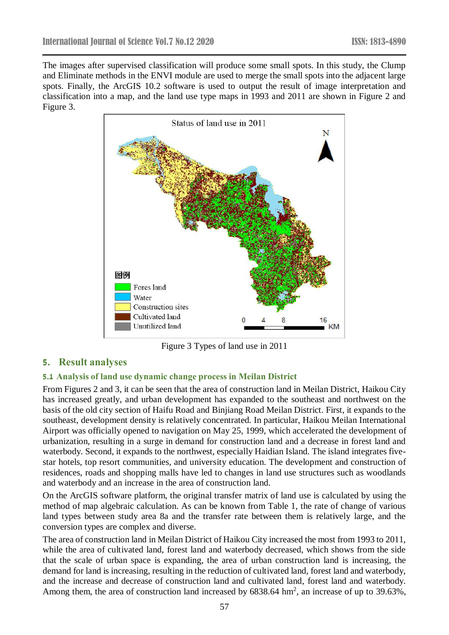The images after supervised classification will produce some small spots. In this study, the Clump and Eliminate methods in the ENVI module are used to merge the small spots into the adjacent large spots. Finally, the ArcGIS 10.2 software is used to output the result of image interpretation and classification into a map, and the land use type maps in 1993 and 2011 are shown in Figure 2 and Figure 3.



Figure 3 Types of land use in 2011

# **5. Result analyses**

# **5.1 Analysis of land use dynamic change process in Meilan District**

From Figures 2 and 3, it can be seen that the area of construction land in Meilan District, Haikou City has increased greatly, and urban development has expanded to the southeast and northwest on the basis of the old city section of Haifu Road and Binjiang Road Meilan District. First, it expands to the southeast, development density is relatively concentrated. In particular, Haikou Meilan International Airport was officially opened to navigation on May 25, 1999, which accelerated the development of urbanization, resulting in a surge in demand for construction land and a decrease in forest land and waterbody. Second, it expands to the northwest, especially Haidian Island. The island integrates fivestar hotels, top resort communities, and university education. The development and construction of residences, roads and shopping malls have led to changes in land use structures such as woodlands and waterbody and an increase in the area of construction land.

On the ArcGIS software platform, the original transfer matrix of land use is calculated by using the method of map algebraic calculation. As can be known from Table 1, the rate of change of various land types between study area 8a and the transfer rate between them is relatively large, and the conversion types are complex and diverse.

The area of construction land in Meilan District of Haikou City increased the most from 1993 to 2011, while the area of cultivated land, forest land and waterbody decreased, which shows from the side that the scale of urban space is expanding, the area of urban construction land is increasing, the demand for land is increasing, resulting in the reduction of cultivated land, forest land and waterbody, and the increase and decrease of construction land and cultivated land, forest land and waterbody. Among them, the area of construction land increased by  $6838.64 \text{ hm}^2$ , an increase of up to 39.63%,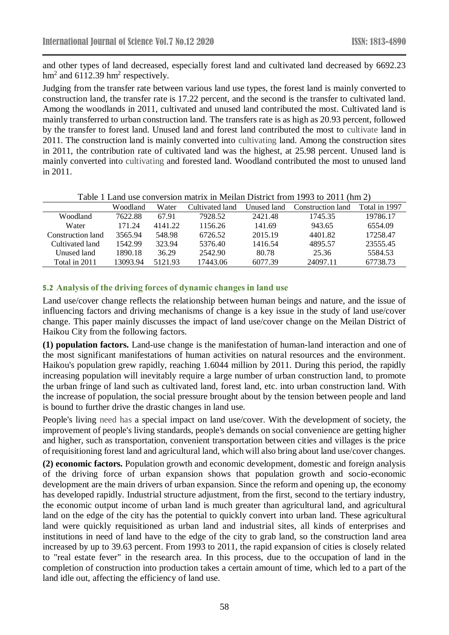and other types of land decreased, especially forest land and cultivated land decreased by 6692.23  $hm<sup>2</sup>$  and 6112.39 hm<sup>2</sup> respectively.

Judging from the transfer rate between various land use types, the forest land is mainly converted to construction land, the transfer rate is 17.22 percent, and the second is the transfer to cultivated land. Among the woodlands in 2011, cultivated and unused land contributed the most. Cultivated land is mainly transferred to urban construction land. The transfers rate is as high as 20.93 percent, followed by the transfer to forest land. Unused land and forest land contributed the most to cultivate land in 2011. The construction land is mainly converted into cultivating land. Among the construction sites in 2011, the contribution rate of cultivated land was the highest, at 25.98 percent. Unused land is mainly converted into cultivating and forested land. Woodland contributed the most to unused land in 2011.

|                   | Woodland | Water   | Cultivated land | Unused land | Construction land | Total in 1997 |
|-------------------|----------|---------|-----------------|-------------|-------------------|---------------|
| Woodland          | 7622.88  | 67.91   | 7928.52         | 2421.48     | 1745.35           | 19786.17      |
| Water             | 171.24   | 4141.22 | 1156.26         | 141.69      | 943.65            | 6554.09       |
| Construction land | 3565.94  | 548.98  | 6726.52         | 2015.19     | 4401.82           | 17258.47      |
| Cultivated land   | 1542.99  | 323.94  | 5376.40         | 1416.54     | 4895.57           | 23555.45      |
| Unused land-      | 1890.18  | 36.29   | 2542.90         | 80.78       | 25.36             | 5584.53       |
| Total in 2011     | 13093.94 | 5121.93 | 17443.06        | 6077.39     | 24097.11          | 67738.73      |

Table 1 Land use conversion matrix in Meilan District from 1993 to 2011 (hm 2)

### **5.2 Analysis of the driving forces of dynamic changes in land use**

Land use/cover change reflects the relationship between human beings and nature, and the issue of influencing factors and driving mechanisms of change is a key issue in the study of land use/cover change. This paper mainly discusses the impact of land use/cover change on the Meilan District of Haikou City from the following factors.

**(1) population factors.** Land-use change is the manifestation of human-land interaction and one of the most significant manifestations of human activities on natural resources and the environment. Haikou's population grew rapidly, reaching 1.6044 million by 2011. During this period, the rapidly increasing population will inevitably require a large number of urban construction land, to promote the urban fringe of land such as cultivated land, forest land, etc. into urban construction land. With the increase of population, the social pressure brought about by the tension between people and land is bound to further drive the drastic changes in land use.

People's living need has a special impact on land use/cover. With the development of society, the improvement of people's living standards, people's demands on social convenience are getting higher and higher, such as transportation, convenient transportation between cities and villages is the price of requisitioning forest land and agricultural land, which will also bring about land use/cover changes.

**(2) economic factors.** Population growth and economic development, domestic and foreign analysis of the driving force of urban expansion shows that population growth and socio-economic development are the main drivers of urban expansion. Since the reform and opening up, the economy has developed rapidly. Industrial structure adjustment, from the first, second to the tertiary industry, the economic output income of urban land is much greater than agricultural land, and agricultural land on the edge of the city has the potential to quickly convert into urban land. These agricultural land were quickly requisitioned as urban land and industrial sites, all kinds of enterprises and institutions in need of land have to the edge of the city to grab land, so the construction land area increased by up to 39.63 percent. From 1993 to 2011, the rapid expansion of cities is closely related to "real estate fever" in the research area. In this process, due to the occupation of land in the completion of construction into production takes a certain amount of time, which led to a part of the land idle out, affecting the efficiency of land use.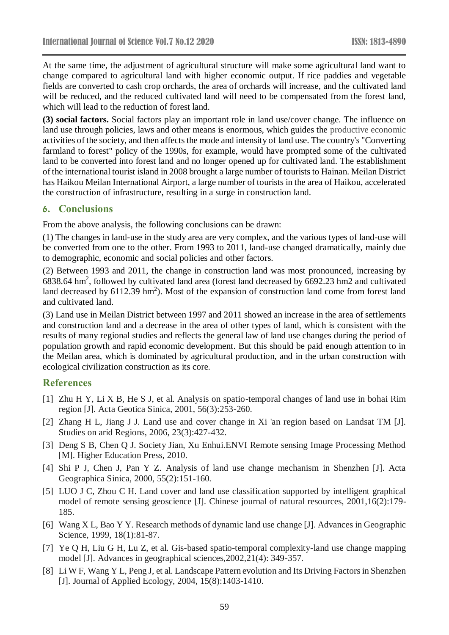At the same time, the adjustment of agricultural structure will make some agricultural land want to change compared to agricultural land with higher economic output. If rice paddies and vegetable fields are converted to cash crop orchards, the area of orchards will increase, and the cultivated land will be reduced, and the reduced cultivated land will need to be compensated from the forest land, which will lead to the reduction of forest land.

**(3) social factors.** Social factors play an important role in land use/cover change. The influence on land use through policies, laws and other means is enormous, which guides the productive economic activities of the society, and then affects the mode and intensity of land use. The country's "Converting farmland to forest" policy of the 1990s, for example, would have prompted some of the cultivated land to be converted into forest land and no longer opened up for cultivated land. The establishment of the international tourist island in 2008 brought a large number of tourists to Hainan. Meilan District has Haikou Meilan International Airport, a large number of tourists in the area of Haikou, accelerated the construction of infrastructure, resulting in a surge in construction land.

# **6. Conclusions**

From the above analysis, the following conclusions can be drawn:

(1) The changes in land-use in the study area are very complex, and the various types of land-use will be converted from one to the other. From 1993 to 2011, land-use changed dramatically, mainly due to demographic, economic and social policies and other factors.

(2) Between 1993 and 2011, the change in construction land was most pronounced, increasing by 6838.64 hm<sup>2</sup> , followed by cultivated land area (forest land decreased by 6692.23 hm2 and cultivated land decreased by 6112.39 hm<sup>2</sup>). Most of the expansion of construction land come from forest land and cultivated land.

(3) Land use in Meilan District between 1997 and 2011 showed an increase in the area of settlements and construction land and a decrease in the area of other types of land, which is consistent with the results of many regional studies and reflects the general law of land use changes during the period of population growth and rapid economic development. But this should be paid enough attention to in the Meilan area, which is dominated by agricultural production, and in the urban construction with ecological civilization construction as its core.

# **References**

- [1] Zhu H Y, Li X B, He S J, et al. Analysis on spatio-temporal changes of land use in bohai Rim region [J]. Acta Geotica Sinica, 2001, 56(3):253-260.
- [2] Zhang H L, Jiang J J. Land use and cover change in Xi 'an region based on Landsat TM [J]. Studies on arid Regions, 2006, 23(3):427-432.
- [3] Deng S B, Chen Q J. Society Jian, Xu Enhui.ENVI Remote sensing Image Processing Method [M]. Higher Education Press, 2010.
- [4] Shi P J, Chen J, Pan Y Z. Analysis of land use change mechanism in Shenzhen [J]. Acta Geographica Sinica, 2000, 55(2):151-160.
- [5] LUO J C, Zhou C H. Land cover and land use classification supported by intelligent graphical model of remote sensing geoscience [J]. Chinese journal of natural resources, 2001,16(2):179- 185.
- [6] Wang X L, Bao Y Y. Research methods of dynamic land use change [J]. Advances in Geographic Science, 1999, 18(1):81-87.
- [7] Ye Q H, Liu G H, Lu Z, et al. Gis-based spatio-temporal complexity-land use change mapping model [J]. Advances in geographical sciences,2002,21(4): 349-357.
- [8] Li W F, Wang Y L, Peng J, et al. Landscape Pattern evolution and Its Driving Factors in Shenzhen [J]. Journal of Applied Ecology, 2004, 15(8):1403-1410.